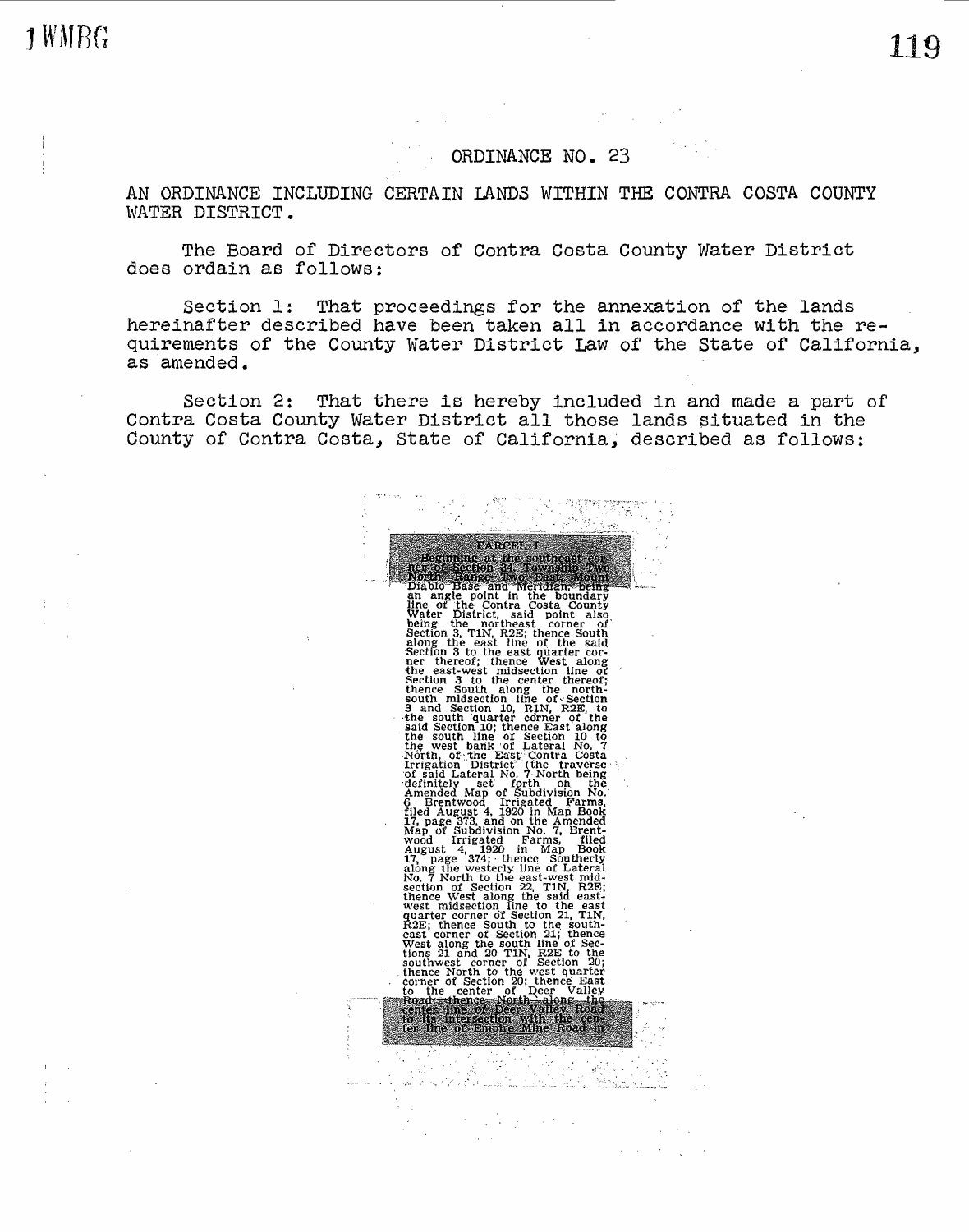JWMRG

## ORDINANCE NO. 23

AN ORDINANCE INCLUDING CERTAIN I.ANDS WITHIN THE CONTRA COSTA COUNTY WATER DISTRICT.

The Board of Directors of Contra Costa County Water District does ordain as follows:

Section 1: That proceedings for the annexation of the lands hereinafter described have been taken all in accordance with the requirements of the County Water District Law of the State of California, as amended.

Section 2: That there is hereby included in and made a part of Contra Costa County water District all those lands situated in the County of Contra Costa, State of California; described as follows:

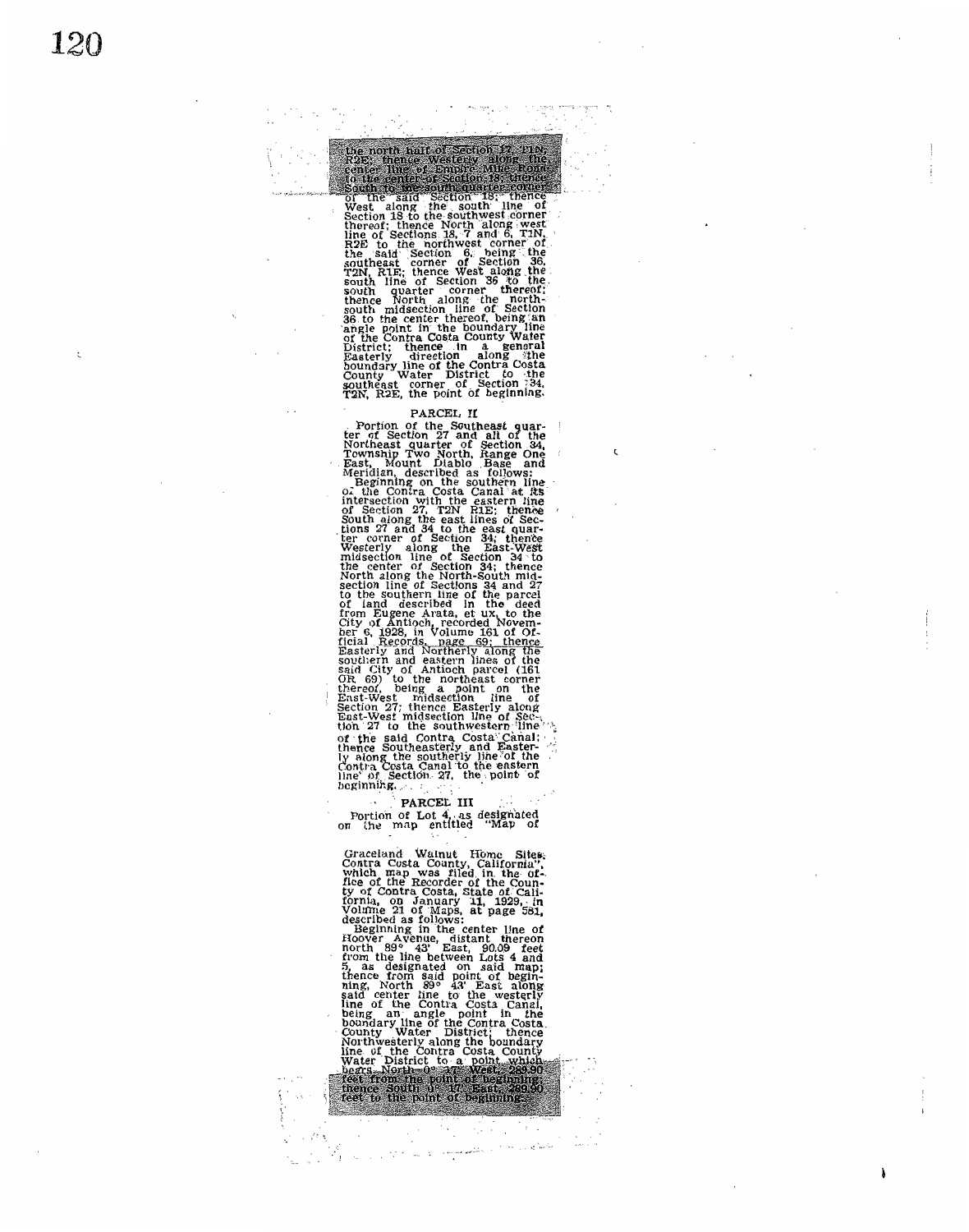the north half of Scotion<br>R2E: thence Westerly a<br>center line of Empire Mi<br>io the center of Scotion R of Section 18; thence West along the south line of<br>Section 18 to the southwest corner<br>thereof; thence North along west<br>line of Sections 18, 7 and 6, TIN,<br>R2E to the northwest corner of<br>the said Section 6, being the southeast corner of Section 36, T2N, R1E; thence West along the routh line of Section 36 to the<br>south quarter corner thereof:<br>thence North along the north-<br>shence North along the north-<br>south midsection line of Section<br>36 to the center thereof, being an<br>angle point in the boundary line

## PARCEL II

ζ

. Portion of the Southeast quar-<br>ter of Section 27 and all of the Northeast quarter of Section 34, Township Two North, Range One<br>East, Mount Diablo Base and<br>Meridian, described as follows:<br>Deginning on the southern line<br>of the Contra Costa Canal at its<br>of the Contra Costa Canal at its<br>in of Section 27, T2N RIE; theme of Section 27, T2N RIE; theme tends to sect lines of Sections 27 and 34 to the east quarrier term of Section 34; then<br>the center of Section 34; then<br>the event point of Section 34; there there

## PARCEL III

Portion of Lot 4, as designated<br>on the map entitled "Map of

Graceland Walnut Home Sites,<br>Contra Costa County, California',<br>which map was filed in the of-<br>fice of the Recorder of the Coun-<br>ty of Contra Costa, State of Cali-<br>formia, on January 11, 1929, in<br>Wolume 21 of Maps, at page